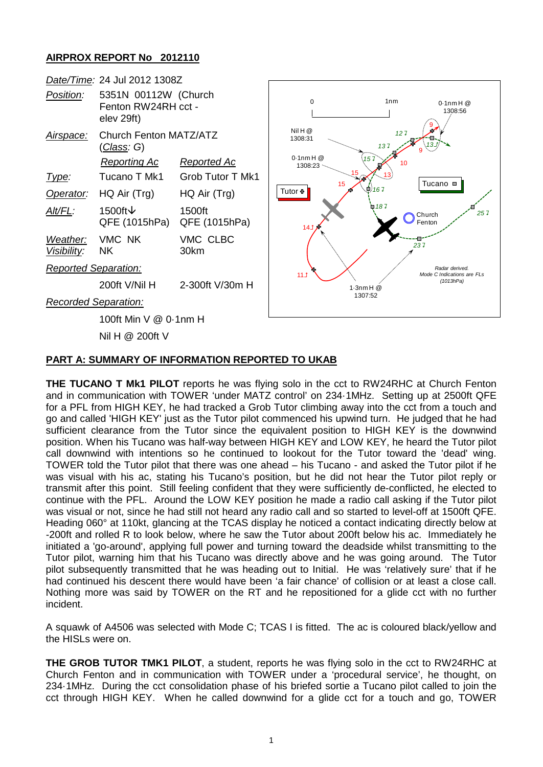## **AIRPROX REPORT No 2012110**



## **PART A: SUMMARY OF INFORMATION REPORTED TO UKAB**

**THE TUCANO T Mk1 PILOT** reports he was flying solo in the cct to RW24RHC at Church Fenton and in communication with TOWER 'under MATZ control' on 234·1MHz. Setting up at 2500ft QFE for a PFL from HIGH KEY, he had tracked a Grob Tutor climbing away into the cct from a touch and go and called 'HIGH KEY' just as the Tutor pilot commenced his upwind turn. He judged that he had sufficient clearance from the Tutor since the equivalent position to HIGH KEY is the downwind position. When his Tucano was half-way between HIGH KEY and LOW KEY, he heard the Tutor pilot call downwind with intentions so he continued to lookout for the Tutor toward the 'dead' wing. TOWER told the Tutor pilot that there was one ahead – his Tucano - and asked the Tutor pilot if he was visual with his ac, stating his Tucano's position, but he did not hear the Tutor pilot reply or transmit after this point. Still feeling confident that they were sufficiently de-conflicted, he elected to continue with the PFL. Around the LOW KEY position he made a radio call asking if the Tutor pilot was visual or not, since he had still not heard any radio call and so started to level-off at 1500ft QFE. Heading 060° at 110kt, glancing at the TCAS display he noticed a contact indicating directly below at -200ft and rolled R to look below, where he saw the Tutor about 200ft below his ac. Immediately he initiated a 'go-around', applying full power and turning toward the deadside whilst transmitting to the Tutor pilot, warning him that his Tucano was directly above and he was going around. The Tutor pilot subsequently transmitted that he was heading out to Initial. He was 'relatively sure' that if he had continued his descent there would have been 'a fair chance' of collision or at least a close call. Nothing more was said by TOWER on the RT and he repositioned for a glide cct with no further incident.

A squawk of A4506 was selected with Mode C; TCAS I is fitted. The ac is coloured black/yellow and the HISLs were on.

**THE GROB TUTOR TMK1 PILOT**, a student, reports he was flying solo in the cct to RW24RHC at Church Fenton and in communication with TOWER under a 'procedural service', he thought, on 234·1MHz. During the cct consolidation phase of his briefed sortie a Tucano pilot called to join the cct through HIGH KEY. When he called downwind for a glide cct for a touch and go, TOWER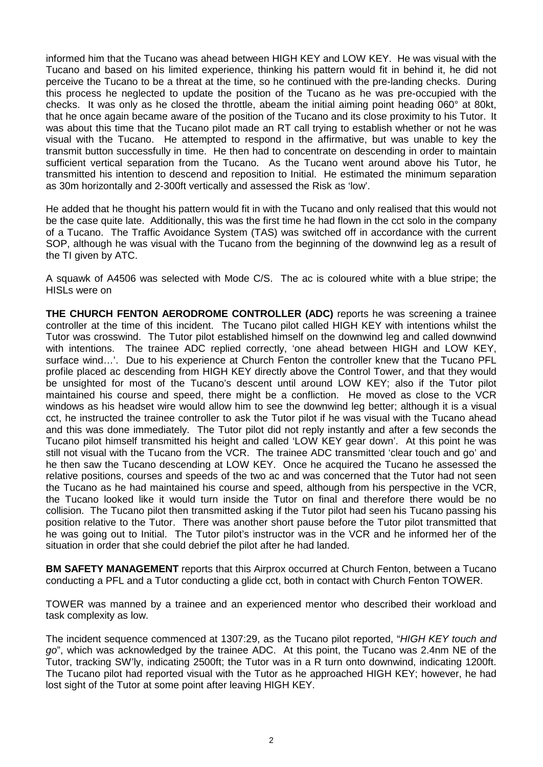informed him that the Tucano was ahead between HIGH KEY and LOW KEY. He was visual with the Tucano and based on his limited experience, thinking his pattern would fit in behind it, he did not perceive the Tucano to be a threat at the time, so he continued with the pre-landing checks. During this process he neglected to update the position of the Tucano as he was pre-occupied with the checks. It was only as he closed the throttle, abeam the initial aiming point heading 060° at 80kt, that he once again became aware of the position of the Tucano and its close proximity to his Tutor. It was about this time that the Tucano pilot made an RT call trying to establish whether or not he was visual with the Tucano. He attempted to respond in the affirmative, but was unable to key the transmit button successfully in time. He then had to concentrate on descending in order to maintain sufficient vertical separation from the Tucano. As the Tucano went around above his Tutor, he transmitted his intention to descend and reposition to Initial. He estimated the minimum separation as 30m horizontally and 2-300ft vertically and assessed the Risk as 'low'.

He added that he thought his pattern would fit in with the Tucano and only realised that this would not be the case quite late. Additionally, this was the first time he had flown in the cct solo in the company of a Tucano. The Traffic Avoidance System (TAS) was switched off in accordance with the current SOP, although he was visual with the Tucano from the beginning of the downwind leg as a result of the TI given by ATC.

A squawk of A4506 was selected with Mode C/S. The ac is coloured white with a blue stripe; the HISLs were on

**THE CHURCH FENTON AERODROME CONTROLLER (ADC)** reports he was screening a trainee controller at the time of this incident. The Tucano pilot called HIGH KEY with intentions whilst the Tutor was crosswind. The Tutor pilot established himself on the downwind leg and called downwind with intentions. The trainee ADC replied correctly, 'one ahead between HIGH and LOW KEY, surface wind…'. Due to his experience at Church Fenton the controller knew that the Tucano PFL profile placed ac descending from HIGH KEY directly above the Control Tower, and that they would be unsighted for most of the Tucano's descent until around LOW KEY; also if the Tutor pilot maintained his course and speed, there might be a confliction. He moved as close to the VCR windows as his headset wire would allow him to see the downwind leg better; although it is a visual cct, he instructed the trainee controller to ask the Tutor pilot if he was visual with the Tucano ahead and this was done immediately. The Tutor pilot did not reply instantly and after a few seconds the Tucano pilot himself transmitted his height and called 'LOW KEY gear down'. At this point he was still not visual with the Tucano from the VCR. The trainee ADC transmitted 'clear touch and go' and he then saw the Tucano descending at LOW KEY. Once he acquired the Tucano he assessed the relative positions, courses and speeds of the two ac and was concerned that the Tutor had not seen the Tucano as he had maintained his course and speed, although from his perspective in the VCR, the Tucano looked like it would turn inside the Tutor on final and therefore there would be no collision. The Tucano pilot then transmitted asking if the Tutor pilot had seen his Tucano passing his position relative to the Tutor. There was another short pause before the Tutor pilot transmitted that he was going out to Initial. The Tutor pilot's instructor was in the VCR and he informed her of the situation in order that she could debrief the pilot after he had landed.

**BM SAFETY MANAGEMENT** reports that this Airprox occurred at Church Fenton, between a Tucano conducting a PFL and a Tutor conducting a glide cct, both in contact with Church Fenton TOWER.

TOWER was manned by a trainee and an experienced mentor who described their workload and task complexity as low.

The incident sequence commenced at 1307:29, as the Tucano pilot reported, "*HIGH KEY touch and go*", which was acknowledged by the trainee ADC. At this point, the Tucano was 2.4nm NE of the Tutor, tracking SW'ly, indicating 2500ft; the Tutor was in a R turn onto downwind, indicating 1200ft. The Tucano pilot had reported visual with the Tutor as he approached HIGH KEY; however, he had lost sight of the Tutor at some point after leaving HIGH KEY.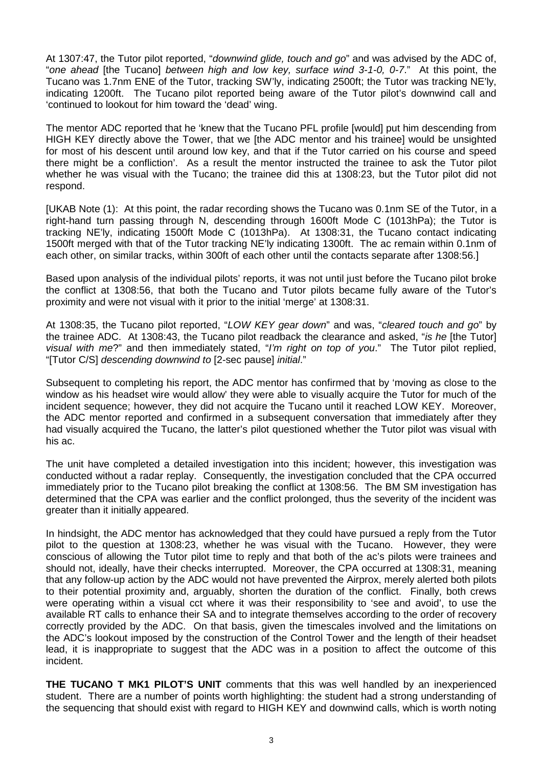At 1307:47, the Tutor pilot reported, "*downwind glide, touch and go*" and was advised by the ADC of, "*one ahead* [the Tucano] *between high and low key, surface wind 3-1-0, 0-7*." At this point, the Tucano was 1.7nm ENE of the Tutor, tracking SW'ly, indicating 2500ft; the Tutor was tracking NE'ly, indicating 1200ft. The Tucano pilot reported being aware of the Tutor pilot's downwind call and 'continued to lookout for him toward the 'dead' wing.

The mentor ADC reported that he 'knew that the Tucano PFL profile [would] put him descending from HIGH KEY directly above the Tower, that we [the ADC mentor and his trainee] would be unsighted for most of his descent until around low key, and that if the Tutor carried on his course and speed there might be a confliction'. As a result the mentor instructed the trainee to ask the Tutor pilot whether he was visual with the Tucano; the trainee did this at 1308:23, but the Tutor pilot did not respond.

[UKAB Note (1): At this point, the radar recording shows the Tucano was 0.1nm SE of the Tutor, in a right-hand turn passing through N, descending through 1600ft Mode C (1013hPa); the Tutor is tracking NE'ly, indicating 1500ft Mode C (1013hPa). At 1308:31, the Tucano contact indicating 1500ft merged with that of the Tutor tracking NE'ly indicating 1300ft. The ac remain within 0.1nm of each other, on similar tracks, within 300ft of each other until the contacts separate after 1308:56.]

Based upon analysis of the individual pilots' reports, it was not until just before the Tucano pilot broke the conflict at 1308:56, that both the Tucano and Tutor pilots became fully aware of the Tutor's proximity and were not visual with it prior to the initial 'merge' at 1308:31.

At 1308:35, the Tucano pilot reported, "*LOW KEY gear down*" and was, "*cleared touch and go*" by the trainee ADC. At 1308:43, the Tucano pilot readback the clearance and asked, "*is he* [the Tutor] *visual with me*?" and then immediately stated, "*I'm right on top of you*." The Tutor pilot replied, "[Tutor C/S] *descending downwind to* [2-sec pause] *initial*."

Subsequent to completing his report, the ADC mentor has confirmed that by 'moving as close to the window as his headset wire would allow' they were able to visually acquire the Tutor for much of the incident sequence; however, they did not acquire the Tucano until it reached LOW KEY. Moreover, the ADC mentor reported and confirmed in a subsequent conversation that immediately after they had visually acquired the Tucano, the latter's pilot questioned whether the Tutor pilot was visual with his ac.

The unit have completed a detailed investigation into this incident; however, this investigation was conducted without a radar replay. Consequently, the investigation concluded that the CPA occurred immediately prior to the Tucano pilot breaking the conflict at 1308:56. The BM SM investigation has determined that the CPA was earlier and the conflict prolonged, thus the severity of the incident was greater than it initially appeared.

In hindsight, the ADC mentor has acknowledged that they could have pursued a reply from the Tutor pilot to the question at 1308:23, whether he was visual with the Tucano. However, they were conscious of allowing the Tutor pilot time to reply and that both of the ac's pilots were trainees and should not, ideally, have their checks interrupted. Moreover, the CPA occurred at 1308:31, meaning that any follow-up action by the ADC would not have prevented the Airprox, merely alerted both pilots to their potential proximity and, arguably, shorten the duration of the conflict. Finally, both crews were operating within a visual cct where it was their responsibility to 'see and avoid', to use the available RT calls to enhance their SA and to integrate themselves according to the order of recovery correctly provided by the ADC. On that basis, given the timescales involved and the limitations on the ADC's lookout imposed by the construction of the Control Tower and the length of their headset lead, it is inappropriate to suggest that the ADC was in a position to affect the outcome of this incident.

**THE TUCANO T MK1 PILOT'S UNIT** comments that this was well handled by an inexperienced student. There are a number of points worth highlighting: the student had a strong understanding of the sequencing that should exist with regard to HIGH KEY and downwind calls, which is worth noting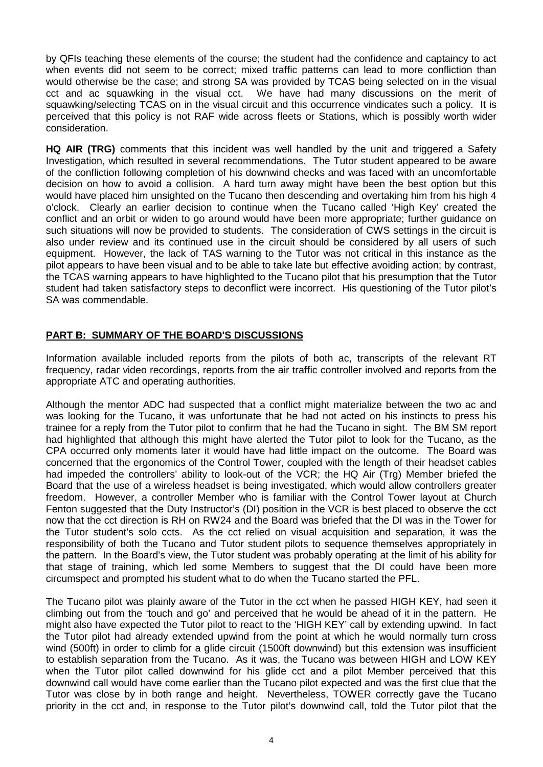by QFIs teaching these elements of the course; the student had the confidence and captaincy to act when events did not seem to be correct; mixed traffic patterns can lead to more confliction than would otherwise be the case; and strong SA was provided by TCAS being selected on in the visual cct and ac squawking in the visual cct. We have had many discussions on the merit of squawking/selecting TCAS on in the visual circuit and this occurrence vindicates such a policy. It is perceived that this policy is not RAF wide across fleets or Stations, which is possibly worth wider consideration.

**HQ AIR (TRG)** comments that this incident was well handled by the unit and triggered a Safety Investigation, which resulted in several recommendations. The Tutor student appeared to be aware of the confliction following completion of his downwind checks and was faced with an uncomfortable decision on how to avoid a collision. A hard turn away might have been the best option but this would have placed him unsighted on the Tucano then descending and overtaking him from his high 4 o'clock. Clearly an earlier decision to continue when the Tucano called 'High Key' created the conflict and an orbit or widen to go around would have been more appropriate; further guidance on such situations will now be provided to students. The consideration of CWS settings in the circuit is also under review and its continued use in the circuit should be considered by all users of such equipment. However, the lack of TAS warning to the Tutor was not critical in this instance as the pilot appears to have been visual and to be able to take late but effective avoiding action; by contrast, the TCAS warning appears to have highlighted to the Tucano pilot that his presumption that the Tutor student had taken satisfactory steps to deconflict were incorrect. His questioning of the Tutor pilot's SA was commendable.

## **PART B: SUMMARY OF THE BOARD'S DISCUSSIONS**

Information available included reports from the pilots of both ac, transcripts of the relevant RT frequency, radar video recordings, reports from the air traffic controller involved and reports from the appropriate ATC and operating authorities.

Although the mentor ADC had suspected that a conflict might materialize between the two ac and was looking for the Tucano, it was unfortunate that he had not acted on his instincts to press his trainee for a reply from the Tutor pilot to confirm that he had the Tucano in sight. The BM SM report had highlighted that although this might have alerted the Tutor pilot to look for the Tucano, as the CPA occurred only moments later it would have had little impact on the outcome. The Board was concerned that the ergonomics of the Control Tower, coupled with the length of their headset cables had impeded the controllers' ability to look-out of the VCR; the HQ Air (Trg) Member briefed the Board that the use of a wireless headset is being investigated, which would allow controllers greater freedom. However, a controller Member who is familiar with the Control Tower layout at Church Fenton suggested that the Duty Instructor's (DI) position in the VCR is best placed to observe the cct now that the cct direction is RH on RW24 and the Board was briefed that the DI was in the Tower for the Tutor student's solo ccts. As the cct relied on visual acquisition and separation, it was the responsibility of both the Tucano and Tutor student pilots to sequence themselves appropriately in the pattern. In the Board's view, the Tutor student was probably operating at the limit of his ability for that stage of training, which led some Members to suggest that the DI could have been more circumspect and prompted his student what to do when the Tucano started the PFL.

The Tucano pilot was plainly aware of the Tutor in the cct when he passed HIGH KEY, had seen it climbing out from the 'touch and go' and perceived that he would be ahead of it in the pattern. He might also have expected the Tutor pilot to react to the 'HIGH KEY' call by extending upwind. In fact the Tutor pilot had already extended upwind from the point at which he would normally turn cross wind (500ft) in order to climb for a glide circuit (1500ft downwind) but this extension was insufficient to establish separation from the Tucano. As it was, the Tucano was between HIGH and LOW KEY when the Tutor pilot called downwind for his glide cct and a pilot Member perceived that this downwind call would have come earlier than the Tucano pilot expected and was the first clue that the Tutor was close by in both range and height. Nevertheless, TOWER correctly gave the Tucano priority in the cct and, in response to the Tutor pilot's downwind call, told the Tutor pilot that the